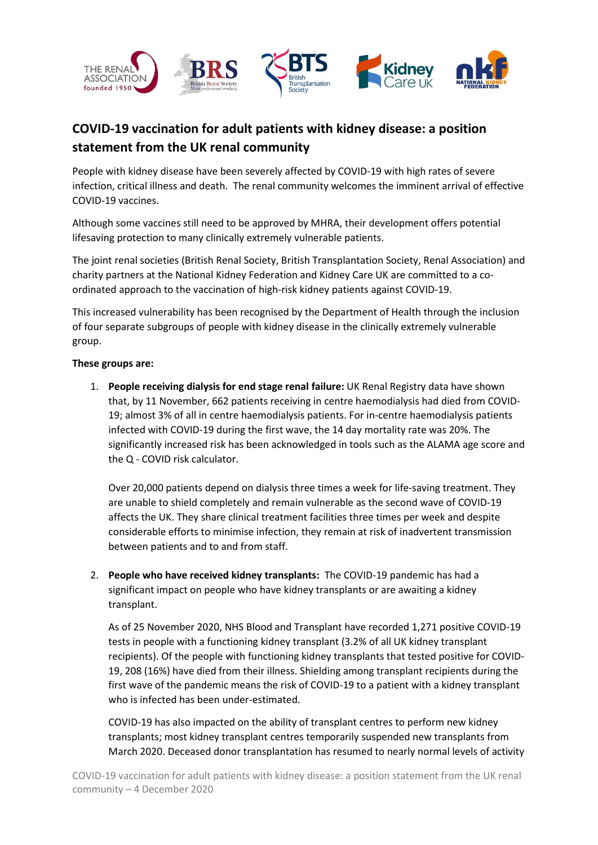

# **COVID-19 vaccination for adult patients with kidney disease: a position statement from the UK renal community**

People with kidney disease have been severely affected by COVID-19 with high rates of severe infection, critical illness and death. The renal community welcomes the imminent arrival of effective COVID-19 vaccines.

Although some vaccines still need to be approved by MHRA, their development offers potential lifesaving protection to many clinically extremely vulnerable patients.

The joint renal societies (British Renal Society, British Transplantation Society, Renal Association) and charity partners at the National Kidney Federation and Kidney Care UK are committed to a coordinated approach to the vaccination of high-risk kidney patients against COVID-19.

This increased vulnerability has been recognised by the Department of Health through the inclusion of four separate subgroups of people with kidney disease in the clinically extremely vulnerable group.

## **These groups are:**

1. **People receiving dialysis for end stage renal failure:** UK Renal Registry data have shown that, by 11 November, 662 patients receiving in centre haemodialysis had died from COVID-19; almost 3% of all in centre haemodialysis patients. For in-centre haemodialysis patients infected with COVID-19 during the first wave, the 14 day mortality rate was 20%. The significantly increased risk has been acknowledged in tools such as the ALAMA age score and the Q - COVID risk calculator.

Over 20,000 patients depend on dialysis three times a week for life-saving treatment. They are unable to shield completely and remain vulnerable as the second wave of COVID-19 affects the UK. They share clinical treatment facilities three times per week and despite considerable efforts to minimise infection, they remain at risk of inadvertent transmission between patients and to and from staff.

2. **People who have received kidney transplants:** The COVID-19 pandemic has had a significant impact on people who have kidney transplants or are awaiting a kidney transplant.

As of 25 November 2020, NHS Blood and Transplant have recorded 1,271 positive COVID-19 tests in people with a functioning kidney transplant (3.2% of all UK kidney transplant recipients). Of the people with functioning kidney transplants that tested positive for COVID-19, 208 (16%) have died from their illness. Shielding among transplant recipients during the first wave of the pandemic means the risk of COVID-19 to a patient with a kidney transplant who is infected has been under-estimated.

COVID-19 has also impacted on the ability of transplant centres to perform new kidney transplants; most kidney transplant centres temporarily suspended new transplants from March 2020. Deceased donor transplantation has resumed to nearly normal levels of activity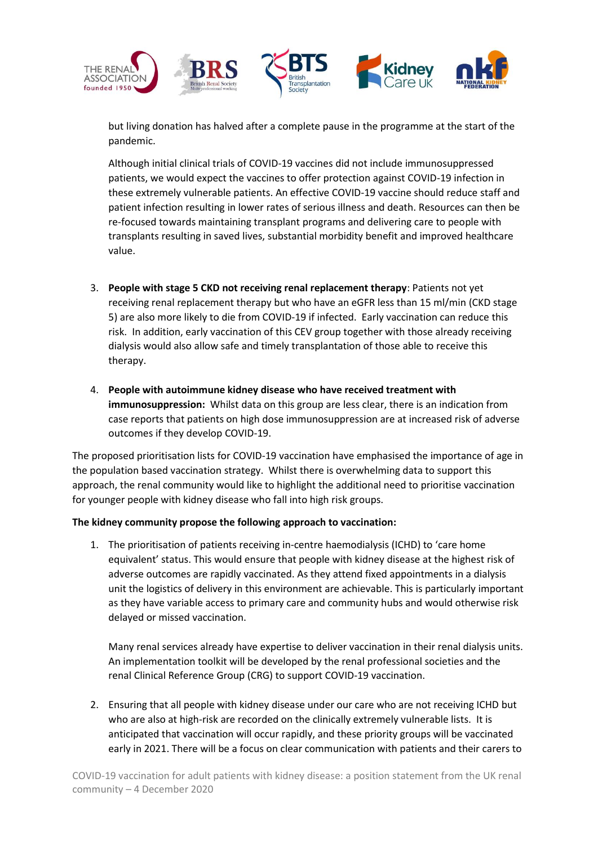

but living donation has halved after a complete pause in the programme at the start of the pandemic.

Although initial clinical trials of COVID-19 vaccines did not include immunosuppressed patients, we would expect the vaccines to offer protection against COVID-19 infection in these extremely vulnerable patients. An effective COVID-19 vaccine should reduce staff and patient infection resulting in lower rates of serious illness and death. Resources can then be re-focused towards maintaining transplant programs and delivering care to people with transplants resulting in saved lives, substantial morbidity benefit and improved healthcare value.

- 3. **People with stage 5 CKD not receiving renal replacement therapy**: Patients not yet receiving renal replacement therapy but who have an eGFR less than 15 ml/min (CKD stage 5) are also more likely to die from COVID-19 if infected. Early vaccination can reduce this risk. In addition, early vaccination of this CEV group together with those already receiving dialysis would also allow safe and timely transplantation of those able to receive this therapy.
- 4. **People with autoimmune kidney disease who have received treatment with immunosuppression:** Whilst data on this group are less clear, there is an indication from case reports that patients on high dose immunosuppression are at increased risk of adverse outcomes if they develop COVID-19.

The proposed prioritisation lists for COVID-19 vaccination have emphasised the importance of age in the population based vaccination strategy. Whilst there is overwhelming data to support this approach, the renal community would like to highlight the additional need to prioritise vaccination for younger people with kidney disease who fall into high risk groups.

## **The kidney community propose the following approach to vaccination:**

1. The prioritisation of patients receiving in-centre haemodialysis (ICHD) to 'care home equivalent' status. This would ensure that people with kidney disease at the highest risk of adverse outcomes are rapidly vaccinated. As they attend fixed appointments in a dialysis unit the logistics of delivery in this environment are achievable. This is particularly important as they have variable access to primary care and community hubs and would otherwise risk delayed or missed vaccination.

Many renal services already have expertise to deliver vaccination in their renal dialysis units. An implementation toolkit will be developed by the renal professional societies and the renal Clinical Reference Group (CRG) to support COVID-19 vaccination.

2. Ensuring that all people with kidney disease under our care who are not receiving ICHD but who are also at high-risk are recorded on the clinically extremely vulnerable lists. It is anticipated that vaccination will occur rapidly, and these priority groups will be vaccinated early in 2021. There will be a focus on clear communication with patients and their carers to